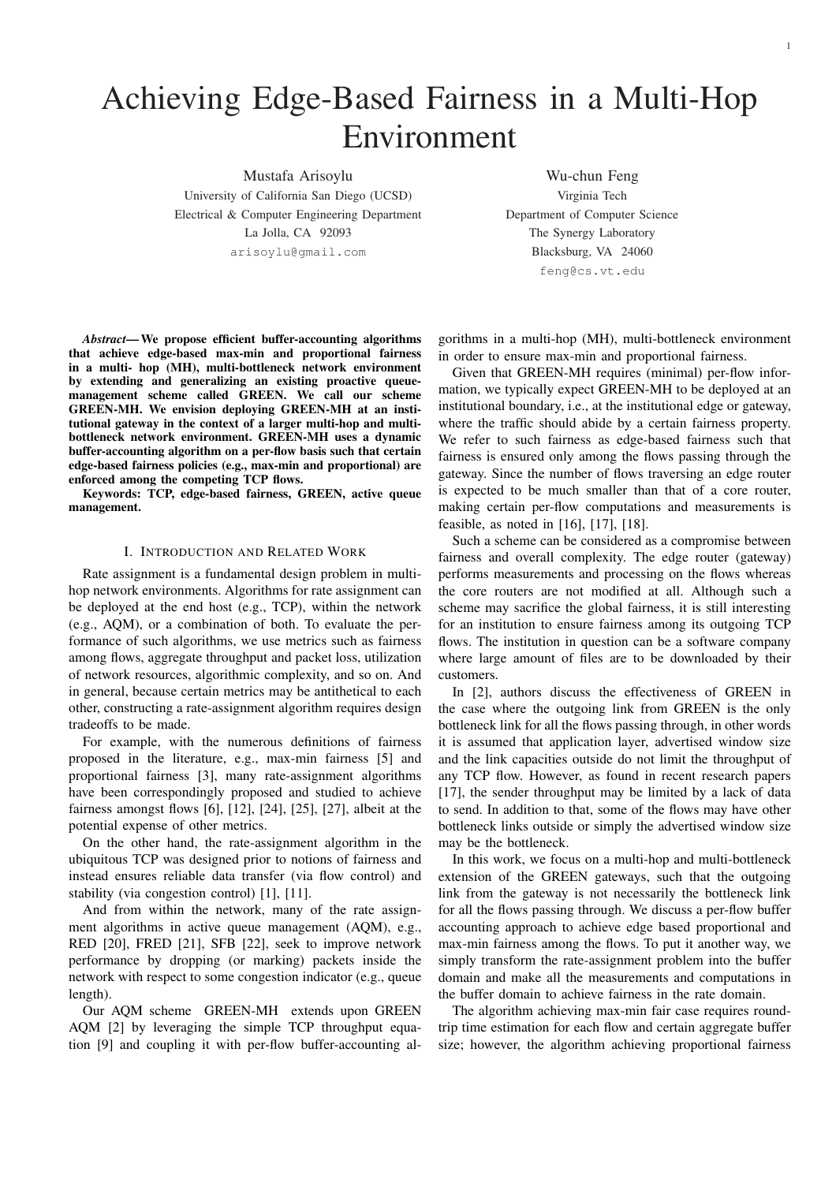# Achieving Edge-Based Fairness in a Multi-Hop Environment

Mustafa Arisoylu Wu-chun Feng University of California San Diego (UCSD) Virginia Tech Electrical & Computer Engineering Department Department of Computer Science La Jolla, CA 92093 The Synergy Laboratory

arisoylu@gmail.com Blacksburg, VA 24060 feng@cs.vt.edu

*Abstract*— We propose efficient buffer-accounting algorithms that achieve edge-based max-min and proportional fairness in a multi- hop (MH), multi-bottleneck network environment by extending and generalizing an existing proactive queuemanagement scheme called GREEN. We call our scheme GREEN-MH. We envision deploying GREEN-MH at an institutional gateway in the context of a larger multi-hop and multibottleneck network environment. GREEN-MH uses a dynamic buffer-accounting algorithm on a per-flow basis such that certain edge-based fairness policies (e.g., max-min and proportional) are enforced among the competing TCP flows.

Keywords: TCP, edge-based fairness, GREEN, active queue management.

# I. INTRODUCTION AND RELATED WORK

Rate assignment is a fundamental design problem in multihop network environments. Algorithms for rate assignment can be deployed at the end host (e.g., TCP), within the network (e.g., AQM), or a combination of both. To evaluate the performance of such algorithms, we use metrics such as fairness among flows, aggregate throughput and packet loss, utilization of network resources, algorithmic complexity, and so on. And in general, because certain metrics may be antithetical to each other, constructing a rate-assignment algorithm requires design tradeoffs to be made.

For example, with the numerous definitions of fairness proposed in the literature, e.g., max-min fairness [5] and proportional fairness [3], many rate-assignment algorithms have been correspondingly proposed and studied to achieve fairness amongst flows [6], [12], [24], [25], [27], albeit at the potential expense of other metrics.

On the other hand, the rate-assignment algorithm in the ubiquitous TCP was designed prior to notions of fairness and instead ensures reliable data transfer (via flow control) and stability (via congestion control) [1], [11].

And from within the network, many of the rate assignment algorithms in active queue management (AQM), e.g., RED [20], FRED [21], SFB [22], seek to improve network performance by dropping (or marking) packets inside the network with respect to some congestion indicator (e.g., queue length).

Our AQM scheme GREEN-MH extends upon GREEN AQM [2] by leveraging the simple TCP throughput equation [9] and coupling it with per-flow buffer-accounting algorithms in a multi-hop (MH), multi-bottleneck environment in order to ensure max-min and proportional fairness.

Given that GREEN-MH requires (minimal) per-flow information, we typically expect GREEN-MH to be deployed at an institutional boundary, i.e., at the institutional edge or gateway, where the traffic should abide by a certain fairness property. We refer to such fairness as edge-based fairness such that fairness is ensured only among the flows passing through the gateway. Since the number of flows traversing an edge router is expected to be much smaller than that of a core router, making certain per-flow computations and measurements is feasible, as noted in [16], [17], [18].

Such a scheme can be considered as a compromise between fairness and overall complexity. The edge router (gateway) performs measurements and processing on the flows whereas the core routers are not modified at all. Although such a scheme may sacrifice the global fairness, it is still interesting for an institution to ensure fairness among its outgoing TCP flows. The institution in question can be a software company where large amount of files are to be downloaded by their customers.

In [2], authors discuss the effectiveness of GREEN in the case where the outgoing link from GREEN is the only bottleneck link for all the flows passing through, in other words it is assumed that application layer, advertised window size and the link capacities outside do not limit the throughput of any TCP flow. However, as found in recent research papers [17], the sender throughput may be limited by a lack of data to send. In addition to that, some of the flows may have other bottleneck links outside or simply the advertised window size may be the bottleneck.

In this work, we focus on a multi-hop and multi-bottleneck extension of the GREEN gateways, such that the outgoing link from the gateway is not necessarily the bottleneck link for all the flows passing through. We discuss a per-flow buffer accounting approach to achieve edge based proportional and max-min fairness among the flows. To put it another way, we simply transform the rate-assignment problem into the buffer domain and make all the measurements and computations in the buffer domain to achieve fairness in the rate domain.

The algorithm achieving max-min fair case requires roundtrip time estimation for each flow and certain aggregate buffer size; however, the algorithm achieving proportional fairness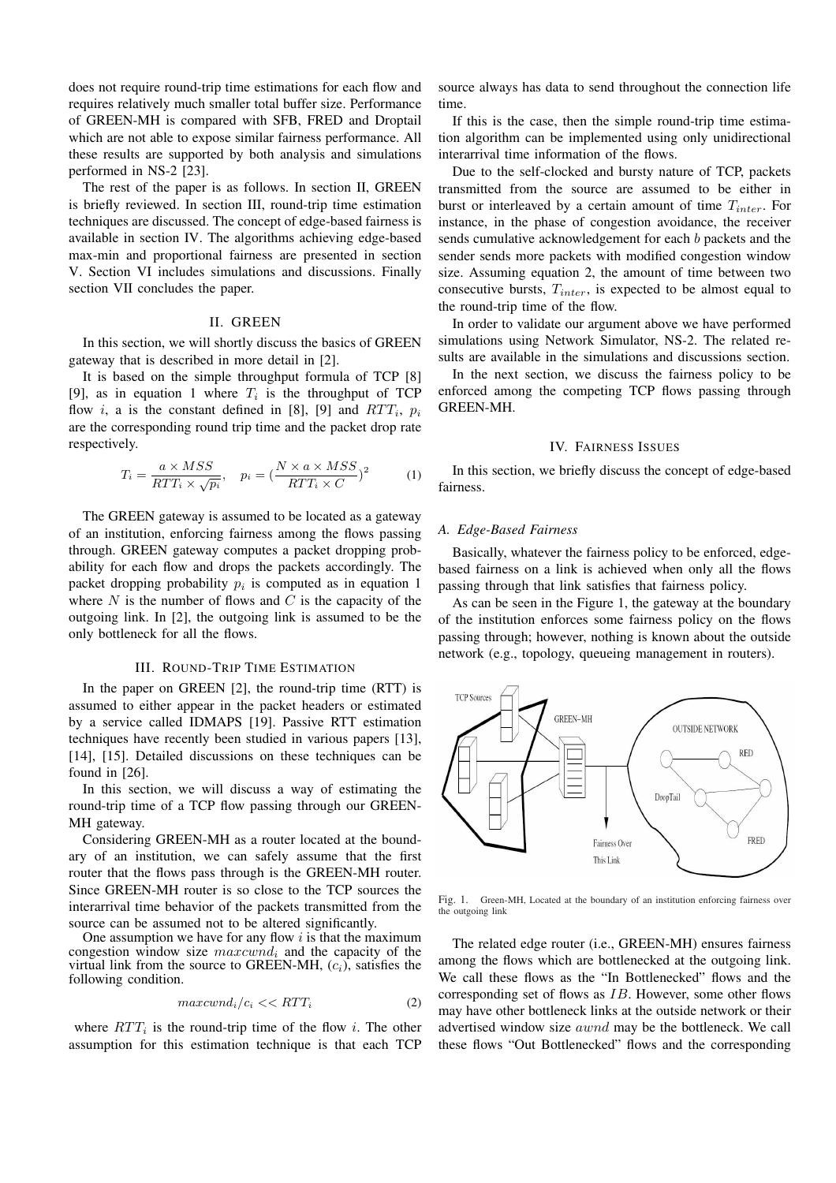does not require round-trip time estimations for each flow and requires relatively much smaller total buffer size. Performance of GREEN-MH is compared with SFB, FRED and Droptail which are not able to expose similar fairness performance. All these results are supported by both analysis and simulations performed in NS-2 [23].

The rest of the paper is as follows. In section II, GREEN is briefly reviewed. In section III, round-trip time estimation techniques are discussed. The concept of edge-based fairness is available in section IV. The algorithms achieving edge-based max-min and proportional fairness are presented in section V. Section VI includes simulations and discussions. Finally section VII concludes the paper.

## II. GREEN

In this section, we will shortly discuss the basics of GREEN gateway that is described in more detail in [2].

It is based on the simple throughput formula of TCP [8] [9], as in equation 1 where  $T_i$  is the throughput of TCP flow *i*, a is the constant defined in [8], [9] and  $RTT_i$ ,  $p_i$ are the corresponding round trip time and the packet drop rate respectively.

$$
T_i = \frac{a \times MSS}{RTT_i \times \sqrt{p_i}}, \quad p_i = \left(\frac{N \times a \times MSS}{RTT_i \times C}\right)^2 \tag{1}
$$

The GREEN gateway is assumed to be located as a gateway of an institution, enforcing fairness among the flows passing through. GREEN gateway computes a packet dropping probability for each flow and drops the packets accordingly. The packet dropping probability  $p_i$  is computed as in equation 1 where  $N$  is the number of flows and  $C$  is the capacity of the outgoing link. In [2], the outgoing link is assumed to be the only bottleneck for all the flows.

#### III. ROUND-TRIP TIME ESTIMATION

In the paper on GREEN [2], the round-trip time (RTT) is assumed to either appear in the packet headers or estimated by a service called IDMAPS [19]. Passive RTT estimation techniques have recently been studied in various papers [13], [14], [15]. Detailed discussions on these techniques can be found in [26].

In this section, we will discuss a way of estimating the round-trip time of a TCP flow passing through our GREEN-MH gateway.

Considering GREEN-MH as a router located at the boundary of an institution, we can safely assume that the first router that the flows pass through is the GREEN-MH router. Since GREEN-MH router is so close to the TCP sources the interarrival time behavior of the packets transmitted from the source can be assumed not to be altered significantly. One assumption we have for any flow  $i$  is that the maximum

congestion window size maxcwnd*<sup>i</sup>* and the capacity of the virtual link from the source to GREEN-MH, (c*i*), satisfies the following condition.

$$
maxcwnd_i/c_i \ll RTT_i \tag{2}
$$

where  $RTT_i$  is the round-trip time of the flow i. The other assumption for this estimation technique is that each TCP source always has data to send throughout the connection life time.

If this is the case, then the simple round-trip time estimation algorithm can be implemented using only unidirectional interarrival time information of the flows.

Due to the self-clocked and bursty nature of TCP, packets transmitted from the source are assumed to be either in burst or interleaved by a certain amount of time T*inter*. For instance, in the phase of congestion avoidance, the receiver sends cumulative acknowledgement for each b packets and the sender sends more packets with modified congestion window size. Assuming equation 2, the amount of time between two consecutive bursts, T*inter*, is expected to be almost equal to the round-trip time of the flow.

In order to validate our argument above we have performed simulations using Network Simulator, NS-2. The related results are available in the simulations and discussions section.

In the next section, we discuss the fairness policy to be enforced among the competing TCP flows passing through GREEN-MH.

### IV. FAIRNESS ISSUES

In this section, we briefly discuss the concept of edge-based fairness.

# *A. Edge-Based Fairness*

Basically, whatever the fairness policy to be enforced, edgebased fairness on a link is achieved when only all the flows passing through that link satisfies that fairness policy.

As can be seen in the Figure 1, the gateway at the boundary of the institution enforces some fairness policy on the flows passing through; however, nothing is known about the outside network (e.g., topology, queueing management in routers).



Fig. 1. Green-MH, Located at the boundary of an institution enforcing fairness over the outgoing link

The related edge router (i.e., GREEN-MH) ensures fairness among the flows which are bottlenecked at the outgoing link. We call these flows as the "In Bottlenecked" flows and the corresponding set of flows as IB. However, some other flows may have other bottleneck links at the outside network or their advertised window size awnd may be the bottleneck. We call these flows "Out Bottlenecked" flows and the corresponding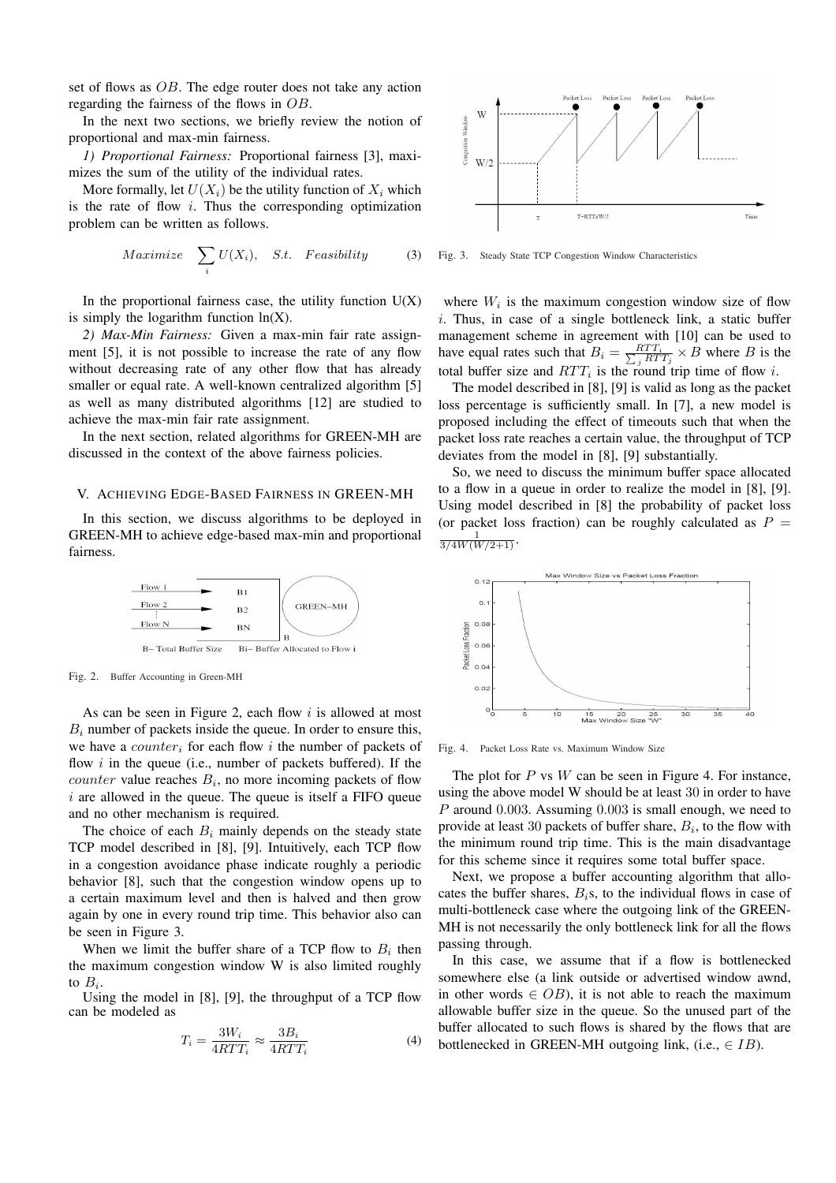set of flows as OB. The edge router does not take any action regarding the fairness of the flows in OB.

In the next two sections, we briefly review the notion of proportional and max-min fairness.

*1) Proportional Fairness:* Proportional fairness [3], maximizes the sum of the utility of the individual rates.

More formally, let  $U(X_i)$  be the utility function of  $X_i$  which is the rate of flow  $i$ . Thus the corresponding optimization problem can be written as follows.

$$
Maximize \sum_{i} U(X_i), \quad S.t. \quad Feasibility \tag{3}
$$

In the proportional fairness case, the utility function  $U(X)$ is simply the logarithm function  $ln(X)$ .

*2) Max-Min Fairness:* Given a max-min fair rate assignment [5], it is not possible to increase the rate of any flow without decreasing rate of any other flow that has already smaller or equal rate. A well-known centralized algorithm [5] as well as many distributed algorithms [12] are studied to achieve the max-min fair rate assignment.

In the next section, related algorithms for GREEN-MH are discussed in the context of the above fairness policies.

## V. ACHIEVING EDGE-BASED FAIRNESS IN GREEN-MH

In this section, we discuss algorithms to be deployed in GREEN-MH to achieve edge-based max-min and proportional fairness.



Fig. 2. Buffer Accounting in Green-MH

As can be seen in Figure 2, each flow  $i$  is allowed at most  $B_i$  number of packets inside the queue. In order to ensure this, we have a counter*<sup>i</sup>* for each flow i the number of packets of flow  $i$  in the queue (i.e., number of packets buffered). If the counter value reaches B*i*, no more incoming packets of flow  $i$  are allowed in the queue. The queue is itself a FIFO queue and no other mechanism is required.

The choice of each  $B_i$  mainly depends on the steady state TCP model described in [8], [9]. Intuitively, each TCP flow in a congestion avoidance phase indicate roughly a periodic behavior [8], such that the congestion window opens up to a certain maximum level and then is halved and then grow again by one in every round trip time. This behavior also can be seen in Figure 3.

When we limit the buffer share of a TCP flow to  $B_i$  then the maximum congestion window W is also limited roughly to  $B_i$ .

Using the model in [8], [9], the throughput of a TCP flow can be modeled as

$$
T_i = \frac{3W_i}{4RTT_i} \approx \frac{3B_i}{4RTT_i}
$$
\n(4)



Fig. 3. Steady State TCP Congestion Window Characteristics

where  $W_i$  is the maximum congestion window size of flow i. Thus, in case of a single bottleneck link, a static buffer management scheme in agreement with [10] can be used to have equal rates such that  $B_i = \frac{RTT_i}{\sum_j RTT_j} \times B$  where B is the total buffer size and  $RTT_i$  is the round trip time of flow i.

The model described in [8], [9] is valid as long as the packet loss percentage is sufficiently small. In [7], a new model is proposed including the effect of timeouts such that when the packet loss rate reaches a certain value, the throughput of TCP deviates from the model in [8], [9] substantially.

So, we need to discuss the minimum buffer space allocated to a flow in a queue in order to realize the model in [8], [9]. Using model described in [8] the probability of packet loss (or packet loss fraction) can be roughly calculated as  $P =$  $\frac{1}{3/4W(W/2+1)}$ .



Fig. 4. Packet Loss Rate vs. Maximum Window Size

The plot for  $P$  vs  $W$  can be seen in Figure 4. For instance, using the above model W should be at least 30 in order to have P around 0.003. Assuming 0.003 is small enough, we need to provide at least 30 packets of buffer share, B*i*, to the flow with the minimum round trip time. This is the main disadvantage for this scheme since it requires some total buffer space.

Next, we propose a buffer accounting algorithm that allocates the buffer shares, B*i*s, to the individual flows in case of multi-bottleneck case where the outgoing link of the GREEN-MH is not necessarily the only bottleneck link for all the flows passing through.

In this case, we assume that if a flow is bottlenecked somewhere else (a link outside or advertised window awnd, in other words  $\in$  *OB*), it is not able to reach the maximum allowable buffer size in the queue. So the unused part of the buffer allocated to such flows is shared by the flows that are bottlenecked in GREEN-MH outgoing link, (i.e.,  $\in IB$ ).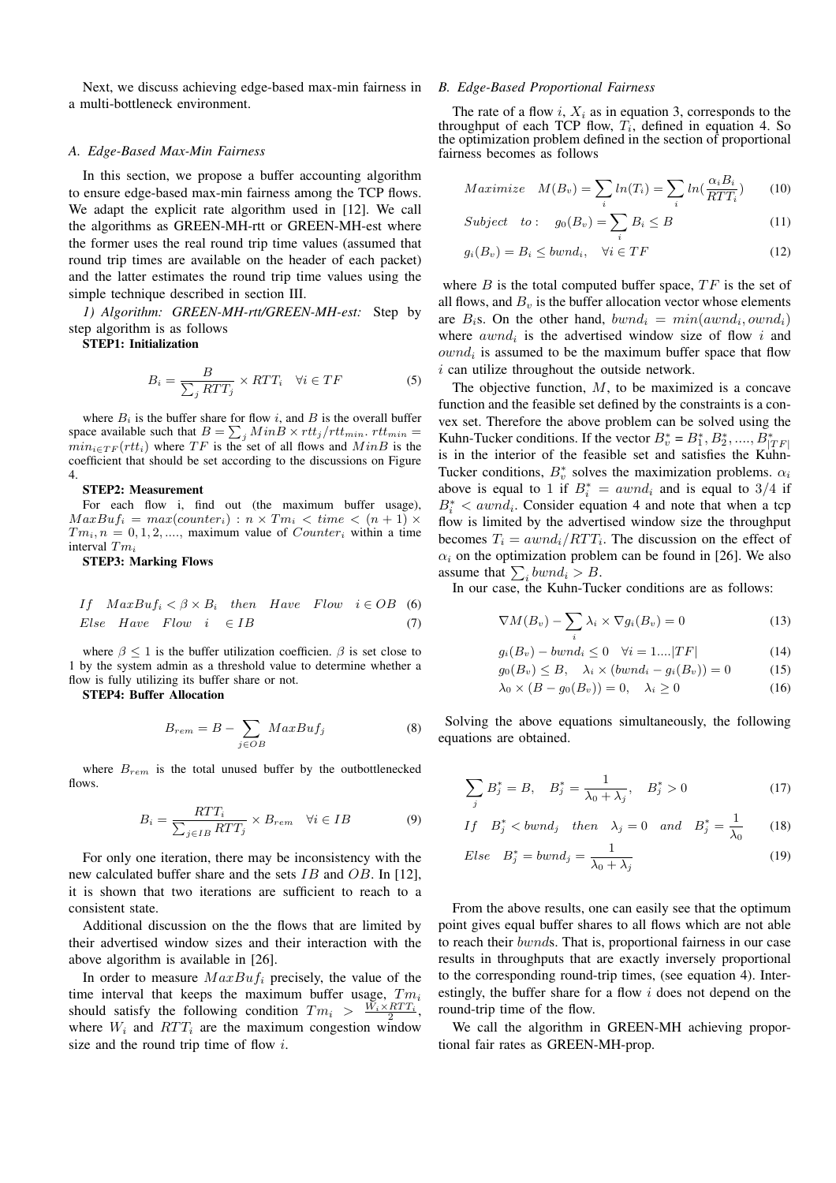Next, we discuss achieving edge-based max-min fairness in a multi-bottleneck environment.

#### *A. Edge-Based Max-Min Fairness*

In this section, we propose a buffer accounting algorithm to ensure edge-based max-min fairness among the TCP flows. We adapt the explicit rate algorithm used in [12]. We call the algorithms as GREEN-MH-rtt or GREEN-MH-est where the former uses the real round trip time values (assumed that round trip times are available on the header of each packet) and the latter estimates the round trip time values using the simple technique described in section III.

*1) Algorithm: GREEN-MH-rtt/GREEN-MH-est:* Step by step algorithm is as follows

STEP1: Initialization

$$
B_i = \frac{B}{\sum_j RTT_j} \times RTT_i \quad \forall i \in TF \tag{5}
$$

where  $B_i$  is the buffer share for flow i, and  $B$  is the overall buffer space available such that  $B = \sum_j MinB \times rtt_j/rtt_{min}$ .  $rtt_{min}$  $min_{i \in TF}(rtt_i)$  where  $TF$  is the set of all flows and  $MinB$  is the coefficient that should be set according to the discussions on Figure 4.

#### STEP2: Measurement

For each flow i, find out (the maximum buffer usage),  $MaxBu f_i = max(counter_i) : n \times Tm_i < time < (n + 1) \times$  $Tm_i$ ,  $n = 0, 1, 2, \ldots$ , maximum value of  $Counter_i$  within a time interval Tm*<sup>i</sup>*

#### STEP3: Marking Flows

If 
$$
MaxBuf_i < \beta \times B_i
$$
 then *Have Flow*  $i \in OB$  (6)  
Else *Have Flow*  $i \in IB$  (7)

where  $\beta \leq 1$  is the buffer utilization coefficien.  $\beta$  is set close to 1 by the system admin as a threshold value to determine whether a flow is fully utilizing its buffer share or not.

STEP4: Buffer Allocation

$$
B_{rem} = B - \sum_{j \in OB} MaxBuf_j \tag{8}
$$

where  $B_{rem}$  is the total unused buffer by the outbottlenecked flows.

$$
B_i = \frac{RTT_i}{\sum_{j \in IB} RTT_j} \times B_{rem} \quad \forall i \in IB
$$
 (9)

For only one iteration, there may be inconsistency with the new calculated buffer share and the sets IB and OB. In [12], it is shown that two iterations are sufficient to reach to a consistent state.

Additional discussion on the the flows that are limited by their advertised window sizes and their interaction with the above algorithm is available in [26].

In order to measure MaxBuf*<sup>i</sup>* precisely, the value of the time interval that keeps the maximum buffer usage, Tm*<sup>i</sup>* should satisfy the following condition  $Tm_i > \frac{W_i \times RTT_i}{2}$ , where  $W_i$  and  $RTT_i$  are the maximum congestion window size and the round trip time of flow i.

# *B. Edge-Based Proportional Fairness*

The rate of a flow  $i$ ,  $X_i$  as in equation 3, corresponds to the throughput of each TCP flow,  $T_i$ , defined in equation 4. So the optimization problem defined in the section of proportional fairness becomes as follows

$$
Maximize \t M(B_v) = \sum_i ln(T_i) = \sum_i ln(\frac{\alpha_i B_i}{RTT_i}) \t (10)
$$

$$
Subject \quad to: \quad g_0(B_v) = \sum_i B_i \le B \tag{11}
$$

$$
g_i(B_v) = B_i \leq bwnd_i, \quad \forall i \in TF \tag{12}
$$

where  $B$  is the total computed buffer space,  $TF$  is the set of all flows, and  $B<sub>v</sub>$  is the buffer allocation vector whose elements are  $B_i$ s. On the other hand,  $bwnd_i = min(awnd_i, ownd_i)$ where  $awnd_i$  is the advertised window size of flow i and ownd*<sup>i</sup>* is assumed to be the maximum buffer space that flow  $i$  can utilize throughout the outside network.

The objective function,  $M$ , to be maximized is a concave function and the feasible set defined by the constraints is a convex set. Therefore the above problem can be solved using the Kuhn-Tucker conditions. If the vector  $B_v^* = B_1^*, B_2^*, \dots, B_{|TF|}^*$ is in the interior of the feasible set and satisfies the Kuhn-Tucker conditions,  $B_v^*$  solves the maximization problems.  $\alpha_i$ above is equal to 1 if  $B_i^* = awnd_i$  and is equal to 3/4 if  $B_i^*$  <  $awnd_i$ . Consider equation 4 and note that when a tcp flow is limited by the advertised window size the throughput becomes  $T_i = awnd_i/RTT_i$ . The discussion on the effect of  $\alpha_i$  on the optimization problem can be found in [26]. We also assume that  $\sum_i bwnd_i > B$ .

In our case, the Kuhn-Tucker conditions are as follows:

$$
\nabla M(B_v) - \sum_i \lambda_i \times \nabla g_i(B_v) = 0 \tag{13}
$$

$$
g_i(B_v) - bwnd_i \le 0 \quad \forall i = 1....|TF| \tag{14}
$$

$$
g_0(B_v) \le B, \quad \lambda_i \times (bwnd_i - g_i(B_v)) = 0 \tag{15}
$$

$$
\lambda_0 \times (B - g_0(B_v)) = 0, \quad \lambda_i \ge 0 \tag{16}
$$

Solving the above equations simultaneously, the following equations are obtained.

$$
\sum_{j} B_j^* = B, \quad B_j^* = \frac{1}{\lambda_0 + \lambda_j}, \quad B_j^* > 0 \tag{17}
$$

$$
If \quad B_j^* < bwnd_j \quad then \quad \lambda_j = 0 \quad and \quad B_j^* = \frac{1}{\lambda_0} \tag{18}
$$

$$
Else \quad B_j^* = bwnd_j = \frac{1}{\lambda_0 + \lambda_j} \tag{19}
$$

From the above results, one can easily see that the optimum point gives equal buffer shares to all flows which are not able to reach their bwnds. That is, proportional fairness in our case results in throughputs that are exactly inversely proportional to the corresponding round-trip times, (see equation 4). Interestingly, the buffer share for a flow i does not depend on the round-trip time of the flow.

We call the algorithm in GREEN-MH achieving proportional fair rates as GREEN-MH-prop.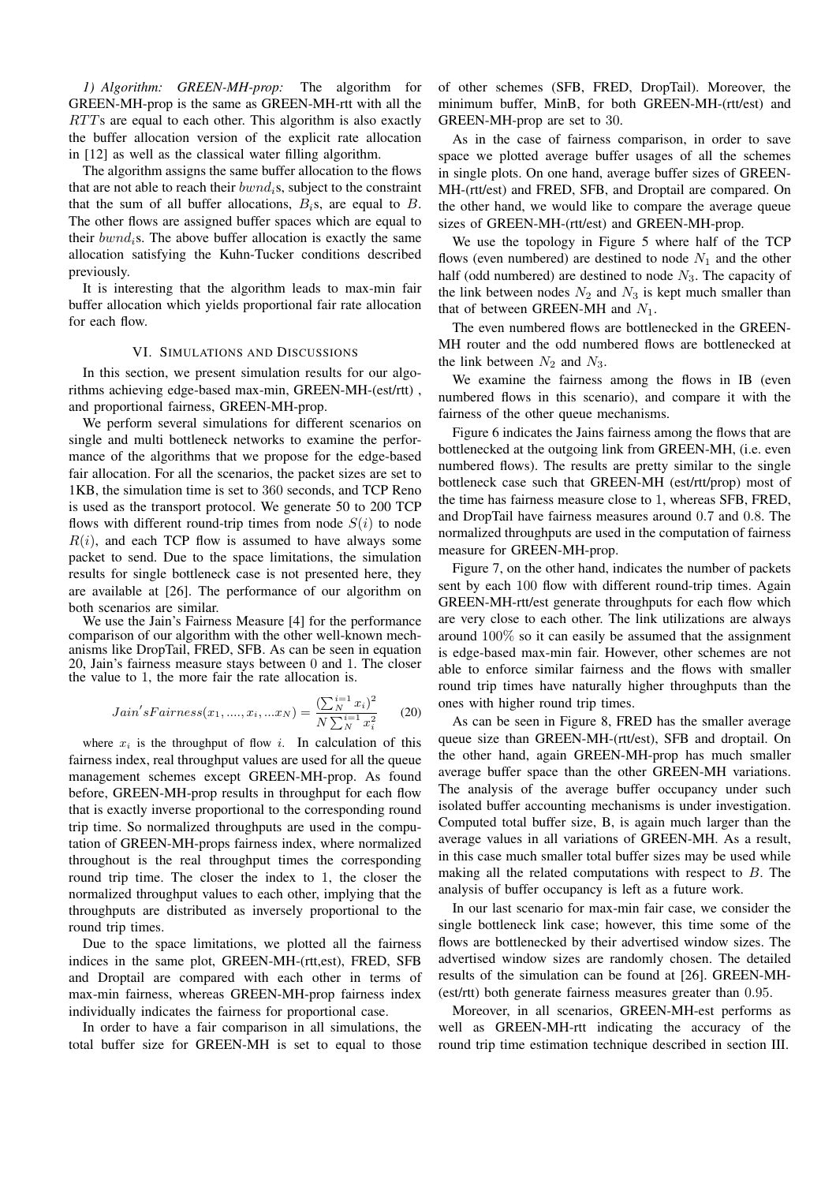*1) Algorithm: GREEN-MH-prop:* The algorithm for GREEN-MH-prop is the same as GREEN-MH-rtt with all the RTTs are equal to each other. This algorithm is also exactly the buffer allocation version of the explicit rate allocation in [12] as well as the classical water filling algorithm.

The algorithm assigns the same buffer allocation to the flows that are not able to reach their bwnd*i*s, subject to the constraint that the sum of all buffer allocations,  $B_i$ s, are equal to  $B$ . The other flows are assigned buffer spaces which are equal to their bwnd*i*s. The above buffer allocation is exactly the same allocation satisfying the Kuhn-Tucker conditions described previously.

It is interesting that the algorithm leads to max-min fair buffer allocation which yields proportional fair rate allocation for each flow.

## VI. SIMULATIONS AND DISCUSSIONS

In this section, we present simulation results for our algorithms achieving edge-based max-min, GREEN-MH-(est/rtt) , and proportional fairness, GREEN-MH-prop.

We perform several simulations for different scenarios on single and multi bottleneck networks to examine the performance of the algorithms that we propose for the edge-based fair allocation. For all the scenarios, the packet sizes are set to 1KB, the simulation time is set to 360 seconds, and TCP Reno is used as the transport protocol. We generate 50 to 200 TCP flows with different round-trip times from node  $S(i)$  to node  $R(i)$ , and each TCP flow is assumed to have always some packet to send. Due to the space limitations, the simulation results for single bottleneck case is not presented here, they are available at [26]. The performance of our algorithm on both scenarios are similar.<br>We use the Jain's Fairness Measure [4] for the performance

comparison of our algorithm with the other well-known mechanisms like DropTail, FRED, SFB. As can be seen in equation 20, Jain's fairness measure stays between 0 and 1. The closer the value to 1, the more fair the rate allocation is.

$$
Jain's Fairness(x_1, ..., x_i, ...x_N) = \frac{\left(\sum_{N}^{i=1} x_i\right)^2}{N \sum_{N}^{i=1} x_i^2}
$$
 (20)

where  $x_i$  is the throughput of flow i. In calculation of this fairness index, real throughput values are used for all the queue management schemes except GREEN-MH-prop. As found before, GREEN-MH-prop results in throughput for each flow that is exactly inverse proportional to the corresponding round trip time. So normalized throughputs are used in the computation of GREEN-MH-props fairness index, where normalized throughout is the real throughput times the corresponding round trip time. The closer the index to 1, the closer the normalized throughput values to each other, implying that the throughputs are distributed as inversely proportional to the round trip times.

Due to the space limitations, we plotted all the fairness indices in the same plot, GREEN-MH-(rtt,est), FRED, SFB and Droptail are compared with each other in terms of max-min fairness, whereas GREEN-MH-prop fairness index individually indicates the fairness for proportional case.

In order to have a fair comparison in all simulations, the total buffer size for GREEN-MH is set to equal to those

of other schemes (SFB, FRED, DropTail). Moreover, the minimum buffer, MinB, for both GREEN-MH-(rtt/est) and GREEN-MH-prop are set to 30.

As in the case of fairness comparison, in order to save space we plotted average buffer usages of all the schemes in single plots. On one hand, average buffer sizes of GREEN-MH-(rtt/est) and FRED, SFB, and Droptail are compared. On the other hand, we would like to compare the average queue sizes of GREEN-MH-(rtt/est) and GREEN-MH-prop.

We use the topology in Figure 5 where half of the TCP flows (even numbered) are destined to node  $N_1$  and the other half (odd numbered) are destined to node  $N_3$ . The capacity of the link between nodes  $N_2$  and  $N_3$  is kept much smaller than that of between GREEN-MH and  $N_1$ .

The even numbered flows are bottlenecked in the GREEN-MH router and the odd numbered flows are bottlenecked at the link between  $N_2$  and  $N_3$ .

We examine the fairness among the flows in IB (even numbered flows in this scenario), and compare it with the fairness of the other queue mechanisms.

Figure 6 indicates the Jains fairness among the flows that are bottlenecked at the outgoing link from GREEN-MH, (i.e. even numbered flows). The results are pretty similar to the single bottleneck case such that GREEN-MH (est/rtt/prop) most of the time has fairness measure close to 1, whereas SFB, FRED, and DropTail have fairness measures around 0.7 and 0.8. The normalized throughputs are used in the computation of fairness measure for GREEN-MH-prop.

Figure 7, on the other hand, indicates the number of packets sent by each 100 flow with different round-trip times. Again GREEN-MH-rtt/est generate throughputs for each flow which are very close to each other. The link utilizations are always around 100% so it can easily be assumed that the assignment is edge-based max-min fair. However, other schemes are not able to enforce similar fairness and the flows with smaller round trip times have naturally higher throughputs than the ones with higher round trip times.

As can be seen in Figure 8, FRED has the smaller average queue size than GREEN-MH-(rtt/est), SFB and droptail. On the other hand, again GREEN-MH-prop has much smaller average buffer space than the other GREEN-MH variations. The analysis of the average buffer occupancy under such isolated buffer accounting mechanisms is under investigation. Computed total buffer size, B, is again much larger than the average values in all variations of GREEN-MH. As a result, in this case much smaller total buffer sizes may be used while making all the related computations with respect to B. The analysis of buffer occupancy is left as a future work.

In our last scenario for max-min fair case, we consider the single bottleneck link case; however, this time some of the flows are bottlenecked by their advertised window sizes. The advertised window sizes are randomly chosen. The detailed results of the simulation can be found at [26]. GREEN-MH- (est/rtt) both generate fairness measures greater than 0.95.

Moreover, in all scenarios, GREEN-MH-est performs as well as GREEN-MH-rtt indicating the accuracy of the round trip time estimation technique described in section III.